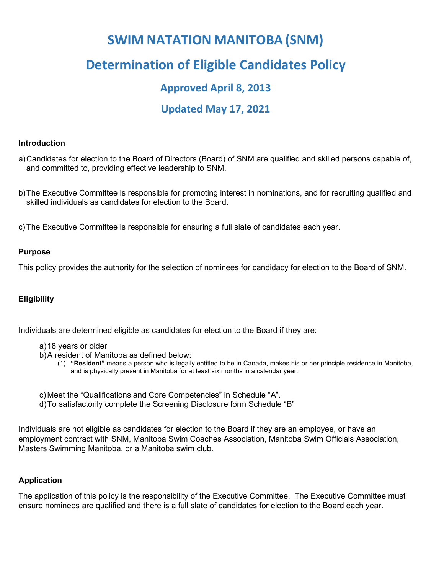# **SWIM NATATION MANITOBA (SNM)**

# **Determination of Eligible Candidates Policy**

### **Approved April 8, 2013**

## **Updated May 17, 2021**

#### **Introduction**

a)Candidates for election to the Board of Directors (Board) of SNM are qualified and skilled persons capable of, and committed to, providing effective leadership to SNM.

b)The Executive Committee is responsible for promoting interest in nominations, and for recruiting qualified and skilled individuals as candidates for election to the Board.

c)The Executive Committee is responsible for ensuring a full slate of candidates each year.

#### **Purpose**

This policy provides the authority for the selection of nominees for candidacy for election to the Board of SNM.

#### **Eligibility**

Individuals are determined eligible as candidates for election to the Board if they are:

#### a)18 years or older

- b)A resident of Manitoba as defined below:
	- (1) **"Resident"** means a person who is legally entitled to be in Canada, makes his or her principle residence in Manitoba, and is physically present in Manitoba for at least six months in a calendar year.
- c) Meet the "Qualifications and Core Competencies" in Schedule "A".
- d)To satisfactorily complete the Screening Disclosure form Schedule "B"

Individuals are not eligible as candidates for election to the Board if they are an employee, or have an employment contract with SNM, Manitoba Swim Coaches Association, Manitoba Swim Officials Association, Masters Swimming Manitoba, or a Manitoba swim club.

#### **Application**

The application of this policy is the responsibility of the Executive Committee. The Executive Committee must ensure nominees are qualified and there is a full slate of candidates for election to the Board each year.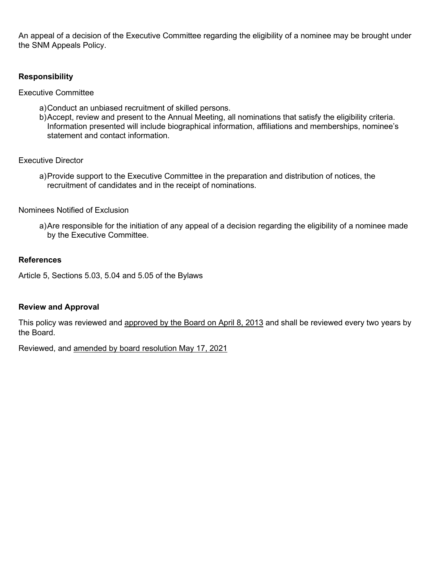An appeal of a decision of the Executive Committee regarding the eligibility of a nominee may be brought under the SNM Appeals Policy.

#### **Responsibility**

Executive Committee

- a)Conduct an unbiased recruitment of skilled persons.
- b)Accept, review and present to the Annual Meeting, all nominations that satisfy the eligibility criteria. Information presented will include biographical information, affiliations and memberships, nominee's statement and contact information.

Executive Director

a)Provide support to the Executive Committee in the preparation and distribution of notices, the recruitment of candidates and in the receipt of nominations.

#### Nominees Notified of Exclusion

a)Are responsible for the initiation of any appeal of a decision regarding the eligibility of a nominee made by the Executive Committee.

#### **References**

Article 5, Sections 5.03, 5.04 and 5.05 of the Bylaws

#### **Review and Approval**

This policy was reviewed and approved by the Board on April 8, 2013 and shall be reviewed every two years by the Board.

Reviewed, and amended by board resolution May 17, 2021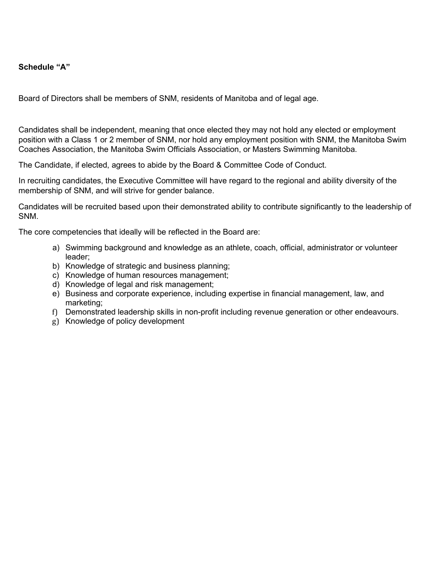#### **Schedule "A"**

Board of Directors shall be members of SNM, residents of Manitoba and of legal age.

Candidates shall be independent, meaning that once elected they may not hold any elected or employment position with a Class 1 or 2 member of SNM, nor hold any employment position with SNM, the Manitoba Swim Coaches Association, the Manitoba Swim Officials Association, or Masters Swimming Manitoba.

The Candidate, if elected, agrees to abide by the Board & Committee Code of Conduct.

In recruiting candidates, the Executive Committee will have regard to the regional and ability diversity of the membership of SNM, and will strive for gender balance.

Candidates will be recruited based upon their demonstrated ability to contribute significantly to the leadership of SNM.

The core competencies that ideally will be reflected in the Board are:

- a) Swimming background and knowledge as an athlete, coach, official, administrator or volunteer leader;
- b) Knowledge of strategic and business planning;
- c) Knowledge of human resources management;
- d) Knowledge of legal and risk management;
- e) Business and corporate experience, including expertise in financial management, law, and marketing;
- f) Demonstrated leadership skills in non-profit including revenue generation or other endeavours.
- g) Knowledge of policy development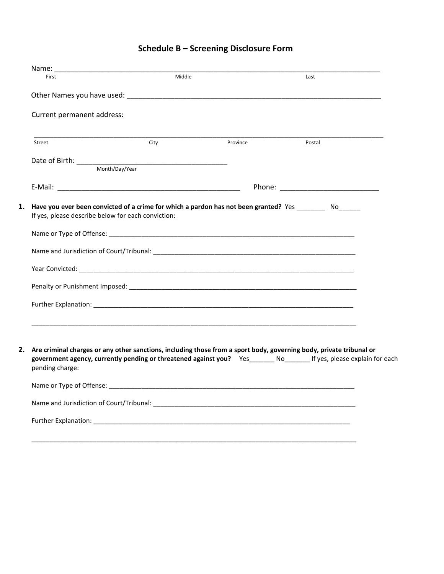## **Schedule B – Screening Disclosure Form**

| Name:                                                                                                                                                                                                                                                           |        |          |        |  |
|-----------------------------------------------------------------------------------------------------------------------------------------------------------------------------------------------------------------------------------------------------------------|--------|----------|--------|--|
| First                                                                                                                                                                                                                                                           | Middle |          | Last   |  |
|                                                                                                                                                                                                                                                                 |        |          |        |  |
| Current permanent address:                                                                                                                                                                                                                                      |        |          |        |  |
| Street                                                                                                                                                                                                                                                          | City   | Province | Postal |  |
|                                                                                                                                                                                                                                                                 |        |          |        |  |
|                                                                                                                                                                                                                                                                 |        |          |        |  |
|                                                                                                                                                                                                                                                                 |        |          |        |  |
| Have you ever been convicted of a crime for which a pardon has not been granted? Yes _________ No______<br>If yes, please describe below for each conviction:                                                                                                   |        |          |        |  |
|                                                                                                                                                                                                                                                                 |        |          |        |  |
|                                                                                                                                                                                                                                                                 |        |          |        |  |
|                                                                                                                                                                                                                                                                 |        |          |        |  |
|                                                                                                                                                                                                                                                                 |        |          |        |  |
|                                                                                                                                                                                                                                                                 |        |          |        |  |
|                                                                                                                                                                                                                                                                 |        |          |        |  |
|                                                                                                                                                                                                                                                                 |        |          |        |  |
| 2. Are criminal charges or any other sanctions, including those from a sport body, governing body, private tribunal or<br>government agency, currently pending or threatened against you? Yes______ No______ If yes, please explain for each<br>pending charge: |        |          |        |  |
|                                                                                                                                                                                                                                                                 |        |          |        |  |
|                                                                                                                                                                                                                                                                 |        |          |        |  |
|                                                                                                                                                                                                                                                                 |        |          |        |  |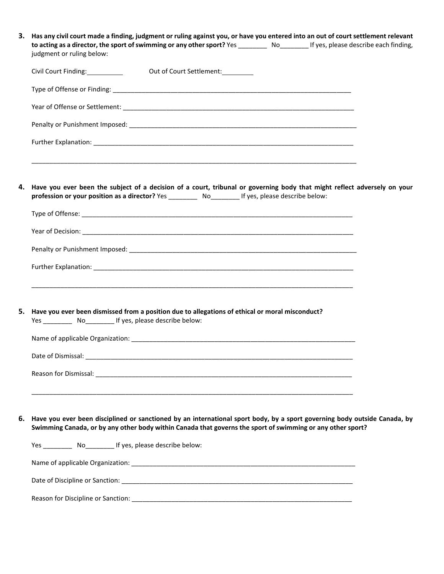| З. | Has any civil court made a finding, judgment or ruling against you, or have you entered into an out of court settlement relevant<br>to acting as a director, the sport of swimming or any other sport? Yes _________ No_________ If yes, please describe each finding,<br>judgment or ruling below: |  |  |
|----|-----------------------------------------------------------------------------------------------------------------------------------------------------------------------------------------------------------------------------------------------------------------------------------------------------|--|--|
|    | Civil Court Finding: __________<br>Out of Court Settlement:                                                                                                                                                                                                                                         |  |  |
|    |                                                                                                                                                                                                                                                                                                     |  |  |
|    |                                                                                                                                                                                                                                                                                                     |  |  |
|    |                                                                                                                                                                                                                                                                                                     |  |  |
|    |                                                                                                                                                                                                                                                                                                     |  |  |
|    | 4. Have you ever been the subject of a decision of a court, tribunal or governing body that might reflect adversely on your                                                                                                                                                                         |  |  |
|    | profession or your position as a director? Yes ____________ No___________ If yes, please describe below:                                                                                                                                                                                            |  |  |
|    |                                                                                                                                                                                                                                                                                                     |  |  |
|    |                                                                                                                                                                                                                                                                                                     |  |  |
|    |                                                                                                                                                                                                                                                                                                     |  |  |
|    | <u> 1980 - John Stone, Amerikaansk politiker (* 1980)</u><br>5. Have you ever been dismissed from a position due to allegations of ethical or moral misconduct?<br>Yes ____________ No____________ If yes, please describe below:                                                                   |  |  |
|    |                                                                                                                                                                                                                                                                                                     |  |  |
|    | Date of Dismissal:                                                                                                                                                                                                                                                                                  |  |  |
|    |                                                                                                                                                                                                                                                                                                     |  |  |
|    | 6. Have you ever been disciplined or sanctioned by an international sport body, by a sport governing body outside Canada, by                                                                                                                                                                        |  |  |
|    | Swimming Canada, or by any other body within Canada that governs the sport of swimming or any other sport?                                                                                                                                                                                          |  |  |
|    | Yes ____________ No___________ If yes, please describe below:                                                                                                                                                                                                                                       |  |  |
|    |                                                                                                                                                                                                                                                                                                     |  |  |
|    |                                                                                                                                                                                                                                                                                                     |  |  |
|    |                                                                                                                                                                                                                                                                                                     |  |  |